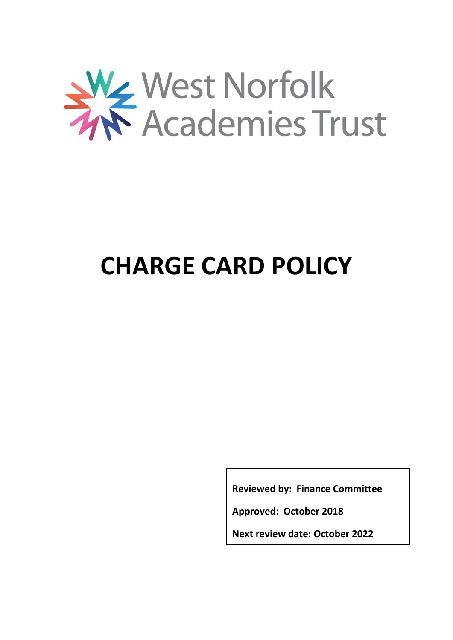

# **CHARGE CARD POLICY**

**Reviewed by: Finance Committee**

**Approved: October 2018**

**Next review date: October 2022**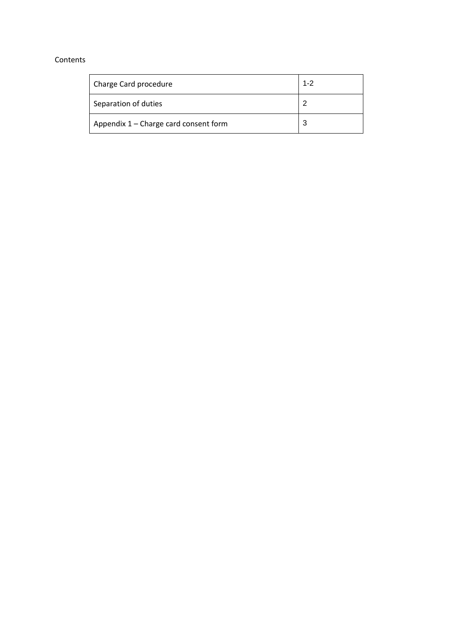#### Contents

| Charge Card procedure                 | $1 - 2$ |
|---------------------------------------|---------|
| Separation of duties                  | າ       |
| Appendix 1 - Charge card consent form | 3       |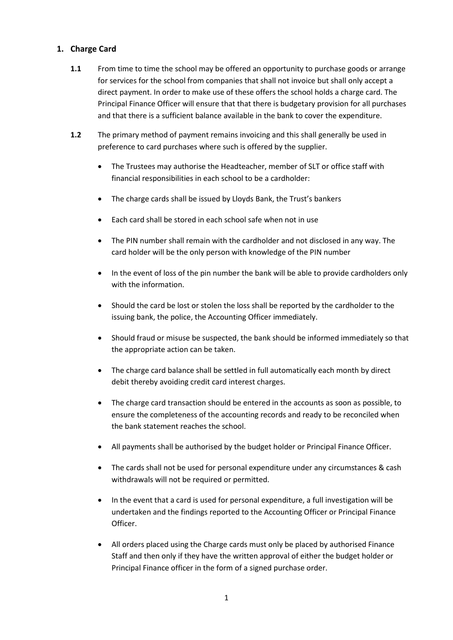## **1. Charge Card**

- **1.1** From time to time the school may be offered an opportunity to purchase goods or arrange for services for the school from companies that shall not invoice but shall only accept a direct payment. In order to make use of these offers the school holds a charge card. The Principal Finance Officer will ensure that that there is budgetary provision for all purchases and that there is a sufficient balance available in the bank to cover the expenditure.
- **1.2** The primary method of payment remains invoicing and this shall generally be used in preference to card purchases where such is offered by the supplier.
	- The Trustees may authorise the Headteacher, member of SLT or office staff with financial responsibilities in each school to be a cardholder:
	- The charge cards shall be issued by Lloyds Bank, the Trust's bankers
	- Each card shall be stored in each school safe when not in use
	- The PIN number shall remain with the cardholder and not disclosed in any way. The card holder will be the only person with knowledge of the PIN number
	- In the event of loss of the pin number the bank will be able to provide cardholders only with the information.
	- Should the card be lost or stolen the loss shall be reported by the cardholder to the issuing bank, the police, the Accounting Officer immediately.
	- Should fraud or misuse be suspected, the bank should be informed immediately so that the appropriate action can be taken.
	- The charge card balance shall be settled in full automatically each month by direct debit thereby avoiding credit card interest charges.
	- The charge card transaction should be entered in the accounts as soon as possible, to ensure the completeness of the accounting records and ready to be reconciled when the bank statement reaches the school.
	- All payments shall be authorised by the budget holder or Principal Finance Officer.
	- The cards shall not be used for personal expenditure under any circumstances & cash withdrawals will not be required or permitted.
	- In the event that a card is used for personal expenditure, a full investigation will be undertaken and the findings reported to the Accounting Officer or Principal Finance Officer.
	- All orders placed using the Charge cards must only be placed by authorised Finance Staff and then only if they have the written approval of either the budget holder or Principal Finance officer in the form of a signed purchase order.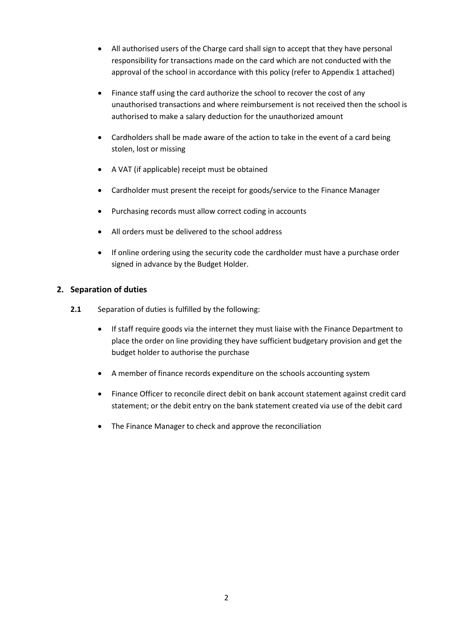- All authorised users of the Charge card shall sign to accept that they have personal responsibility for transactions made on the card which are not conducted with the approval of the school in accordance with this policy (refer to Appendix 1 attached)
- Finance staff using the card authorize the school to recover the cost of any unauthorised transactions and where reimbursement is not received then the school is authorised to make a salary deduction for the unauthorized amount
- Cardholders shall be made aware of the action to take in the event of a card being stolen, lost or missing
- A VAT (if applicable) receipt must be obtained
- Cardholder must present the receipt for goods/service to the Finance Manager
- Purchasing records must allow correct coding in accounts
- All orders must be delivered to the school address
- If online ordering using the security code the cardholder must have a purchase order signed in advance by the Budget Holder.

## **2. Separation of duties**

- **2.1** Separation of duties is fulfilled by the following:
	- If staff require goods via the internet they must liaise with the Finance Department to place the order on line providing they have sufficient budgetary provision and get the budget holder to authorise the purchase
	- A member of finance records expenditure on the schools accounting system
	- Finance Officer to reconcile direct debit on bank account statement against credit card statement; or the debit entry on the bank statement created via use of the debit card
	- The Finance Manager to check and approve the reconciliation